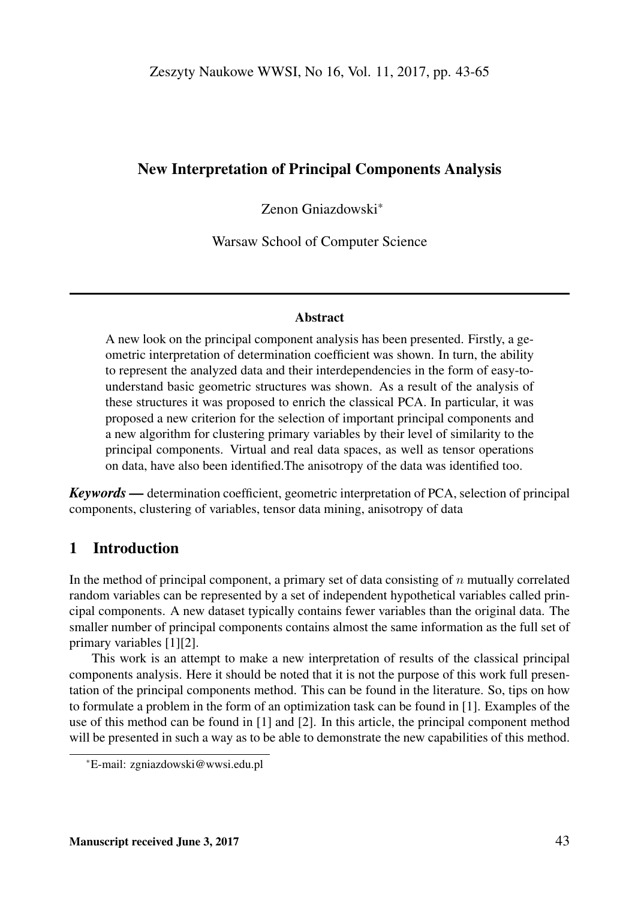## New Interpretation of Principal Components Analysis

Zenon Gniazdowski\*

Warsaw School of Computer Science

#### Abstract

A new look on the principal component analysis has been presented. Firstly, a geometric interpretation of determination coefficient was shown. In turn, the ability to represent the analyzed data and their interdependencies in the form of easy-tounderstand basic geometric structures was shown. As a result of the analysis of these structures it was proposed to enrich the classical PCA. In particular, it was proposed a new criterion for the selection of important principal components and a new algorithm for clustering primary variables by their level of similarity to the principal components. Virtual and real data spaces, as well as tensor operations on data, have also been identified.The anisotropy of the data was identified too.

*Keywords —* determination coefficient, geometric interpretation of PCA, selection of principal components, clustering of variables, tensor data mining, anisotropy of data

# 1 Introduction

In the method of principal component, a primary set of data consisting of  $n$  mutually correlated random variables can be represented by a set of independent hypothetical variables called principal components. A new dataset typically contains fewer variables than the original data. The smaller number of principal components contains almost the same information as the full set of primary variables [1][2].

This work is an attempt to make a new interpretation of results of the classical principal components analysis. Here it should be noted that it is not the purpose of this work full presentation of the principal components method. This can be found in the literature. So, tips on how to formulate a problem in the form of an optimization task can be found in [1]. Examples of the use of this method can be found in [1] and [2]. In this article, the principal component method will be presented in such a way as to be able to demonstrate the new capabilities of this method.

<sup>\*</sup>E-mail: zgniazdowski@wwsi.edu.pl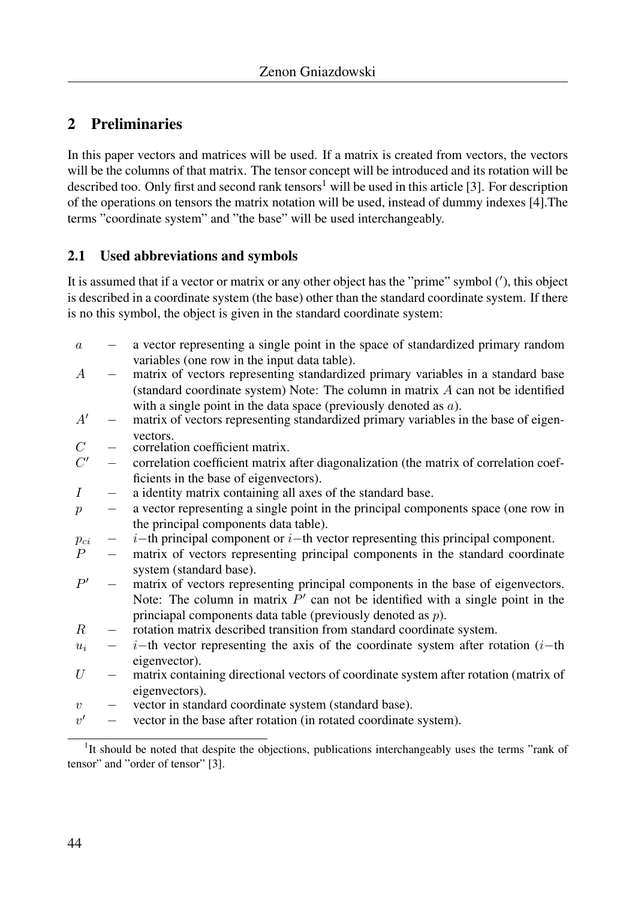# 2 Preliminaries

In this paper vectors and matrices will be used. If a matrix is created from vectors, the vectors will be the columns of that matrix. The tensor concept will be introduced and its rotation will be described too. Only first and second rank tensors<sup>1</sup> will be used in this article [3]. For description of the operations on tensors the matrix notation will be used, instead of dummy indexes [4].The terms "coordinate system" and "the base" will be used interchangeably.

## 2.1 Used abbreviations and symbols

It is assumed that if a vector or matrix or any other object has the "prime" symbol ('), this object is described in a coordinate system (the base) other than the standard coordinate system. If there is no this symbol, the object is given in the standard coordinate system:

| $\boldsymbol{a}$ |                          | a vector representing a single point in the space of standardized primary random       |
|------------------|--------------------------|----------------------------------------------------------------------------------------|
|                  |                          | variables (one row in the input data table).                                           |
| $\overline{A}$   |                          | matrix of vectors representing standardized primary variables in a standard base       |
|                  |                          | (standard coordinate system) Note: The column in matrix $A$ can not be identified      |
|                  |                          | with a single point in the data space (previously denoted as $a$ ).                    |
| A'               |                          | matrix of vectors representing standardized primary variables in the base of eigen-    |
|                  |                          | vectors.                                                                               |
| $\mathcal{C}$    |                          | correlation coefficient matrix.                                                        |
| C'               | $\overline{\phantom{0}}$ | correlation coefficient matrix after diagonalization (the matrix of correlation coef-  |
|                  |                          | ficients in the base of eigenvectors).                                                 |
| $\boldsymbol{I}$ |                          | a identity matrix containing all axes of the standard base.                            |
| $\boldsymbol{p}$ |                          | a vector representing a single point in the principal components space (one row in     |
|                  |                          | the principal components data table).                                                  |
| $p_{ci}$         |                          | $i$ -th principal component or $i$ -th vector representing this principal component.   |
| $\overline{P}$   | $\overline{\phantom{0}}$ | matrix of vectors representing principal components in the standard coordinate         |
|                  |                          | system (standard base).                                                                |
| P'               |                          | matrix of vectors representing principal components in the base of eigenvectors.       |
|                  |                          | Note: The column in matrix $P'$ can not be identified with a single point in the       |
|                  |                          | princiapal components data table (previously denoted as $p$ ).                         |
| $_{R}$           |                          | rotation matrix described transition from standard coordinate system.                  |
| $u_i$            |                          | $i$ -th vector representing the axis of the coordinate system after rotation ( $i$ -th |
|                  |                          | eigenvector).                                                                          |
| U                |                          | matrix containing directional vectors of coordinate system after rotation (matrix of   |
|                  |                          | eigenvectors).                                                                         |
| $\upsilon$       |                          | vector in standard coordinate system (standard base).                                  |
| v'               |                          | vector in the base after rotation (in rotated coordinate system).                      |
|                  |                          |                                                                                        |

<sup>&</sup>lt;sup>1</sup>It should be noted that despite the objections, publications interchangeably uses the terms "rank of tensor" and "order of tensor" [3].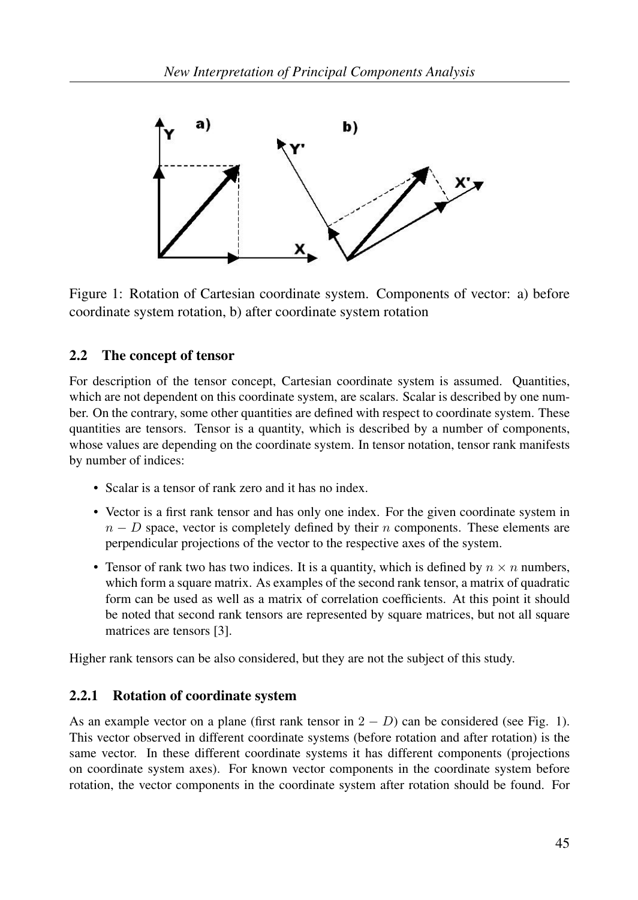

Figure 1: Rotation of Cartesian coordinate system. Components of vector: a) before coordinate system rotation, b) after coordinate system rotation

## 2.2 The concept of tensor

For description of the tensor concept, Cartesian coordinate system is assumed. Quantities, which are not dependent on this coordinate system, are scalars. Scalar is described by one number. On the contrary, some other quantities are defined with respect to coordinate system. These quantities are tensors. Tensor is a quantity, which is described by a number of components, whose values are depending on the coordinate system. In tensor notation, tensor rank manifests by number of indices:

- Scalar is a tensor of rank zero and it has no index.
- Vector is a first rank tensor and has only one index. For the given coordinate system in  $n - D$  space, vector is completely defined by their n components. These elements are perpendicular projections of the vector to the respective axes of the system.
- Tensor of rank two has two indices. It is a quantity, which is defined by  $n \times n$  numbers, which form a square matrix. As examples of the second rank tensor, a matrix of quadratic form can be used as well as a matrix of correlation coefficients. At this point it should be noted that second rank tensors are represented by square matrices, but not all square matrices are tensors [3].

Higher rank tensors can be also considered, but they are not the subject of this study.

## 2.2.1 Rotation of coordinate system

As an example vector on a plane (first rank tensor in  $2 - D$ ) can be considered (see Fig. 1). This vector observed in different coordinate systems (before rotation and after rotation) is the same vector. In these different coordinate systems it has different components (projections on coordinate system axes). For known vector components in the coordinate system before rotation, the vector components in the coordinate system after rotation should be found. For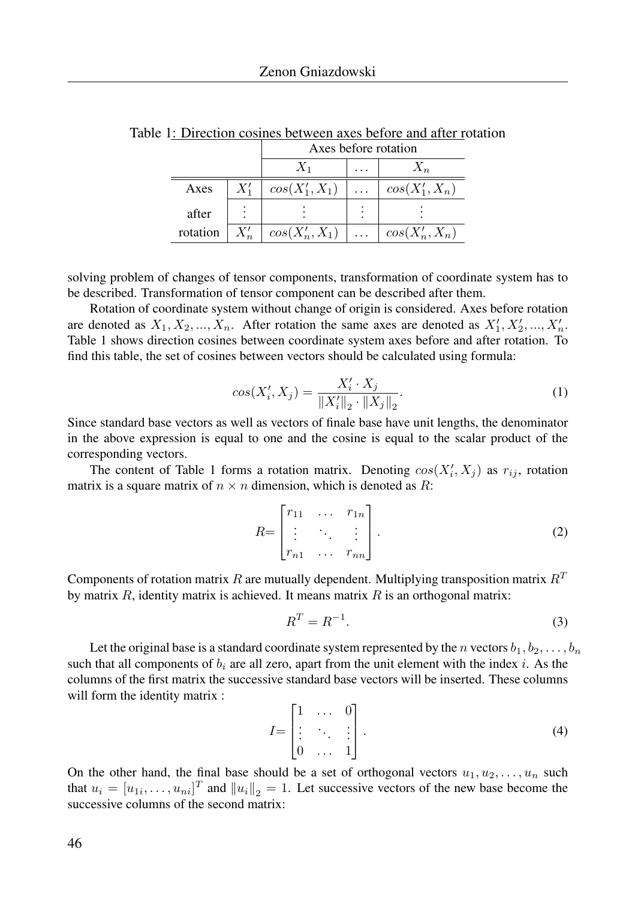|          |    | Axes before rotation |                       |                  |  |
|----------|----|----------------------|-----------------------|------------------|--|
|          |    |                      |                       |                  |  |
| Axes     |    | $cos(X'_1, X_1)$     | $\vert \cdot \vert$ . | $cos(X'_1, X_n)$ |  |
| after    |    |                      |                       |                  |  |
| rotation | X' | $cos(X'_n, X_1)$     |                       | $cos(X'_n, X_n)$ |  |

Table 1: Direction cosines between axes before and after rotation

solving problem of changes of tensor components, transformation of coordinate system has to be described. Transformation of tensor component can be described after them.

Rotation of coordinate system without change of origin is considered. Axes before rotation are denoted as  $X_1, X_2, ..., X_n$ . After rotation the same axes are denoted as  $X'_1, X'_2, ..., X'_n$ . Table 1 shows direction cosines between coordinate system axes before and after rotation. To find this table, the set of cosines between vectors should be calculated using formula:

$$
cos(X'_i, X_j) = \frac{X'_i \cdot X_j}{\|X'_i\|_2 \cdot \|X_j\|_2}.
$$
 (1)

Since standard base vectors as well as vectors of finale base have unit lengths, the denominator in the above expression is equal to one and the cosine is equal to the scalar product of the corresponding vectors.

The content of Table 1 forms a rotation matrix. Denoting  $cos(X'_i, X_j)$  as  $r_{ij}$ , rotation matrix is a square matrix of  $n \times n$  dimension, which is denoted as R:

$$
R = \begin{bmatrix} r_{11} & \cdots & r_{1n} \\ \vdots & \ddots & \vdots \\ r_{n1} & \cdots & r_{nn} \end{bmatrix} . \tag{2}
$$

Components of rotation matrix R are mutually dependent. Multiplying transposition matrix  $R<sup>T</sup>$ by matrix  $R$ , identity matrix is achieved. It means matrix  $R$  is an orthogonal matrix:

$$
R^T = R^{-1}.\tag{3}
$$

Let the original base is a standard coordinate system represented by the n vectors  $b_1, b_2, \ldots, b_n$ such that all components of  $b_i$  are all zero, apart from the unit element with the index i. As the columns of the first matrix the successive standard base vectors will be inserted. These columns will form the identity matrix :

$$
I = \begin{bmatrix} 1 & \dots & 0 \\ \vdots & \ddots & \vdots \\ 0 & \dots & 1 \end{bmatrix} . \tag{4}
$$

On the other hand, the final base should be a set of orthogonal vectors  $u_1, u_2, \ldots, u_n$  such that  $u_i = [u_{1i}, \dots, u_{ni}]^T$  and  $||u_i||_2 = 1$ . Let successive vectors of the new base become the successive columns of the second matrix: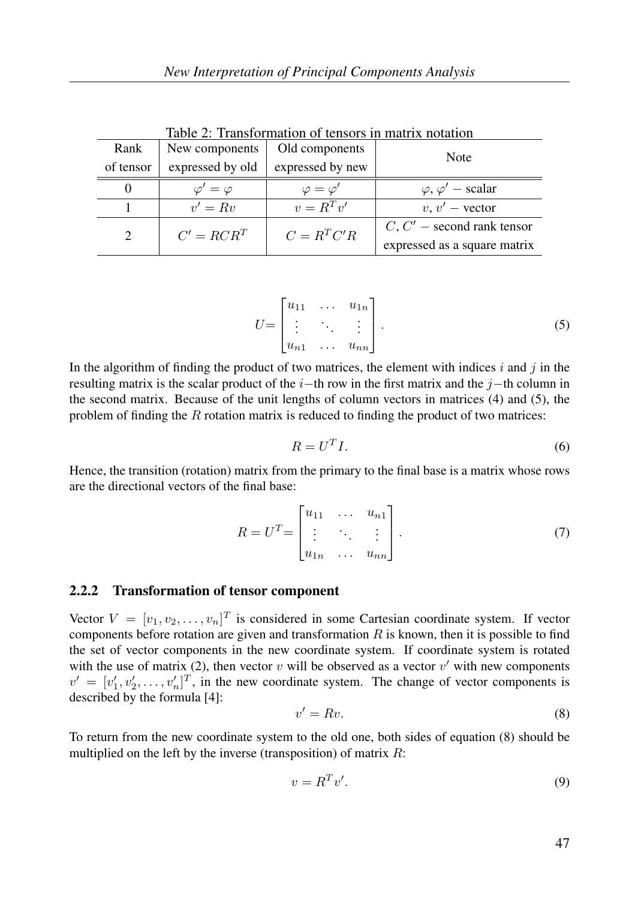|                             | Table 2: Transformation of tensors in matrix notation |                      |                              |  |  |  |  |  |
|-----------------------------|-------------------------------------------------------|----------------------|------------------------------|--|--|--|--|--|
| Rank                        | New components                                        | Old components       | Note                         |  |  |  |  |  |
| of tensor                   | expressed by old                                      | expressed by new     |                              |  |  |  |  |  |
| $\theta$                    | $\varphi'=\varphi$                                    | $\varphi = \varphi'$ | $\varphi, \varphi'$ – scalar |  |  |  |  |  |
|                             | $v' = Rv$                                             | $v = R^T v'$         | $v, v'$ – vector             |  |  |  |  |  |
| $\mathcal{D}_{\mathcal{L}}$ | $C' = R C R^T$                                        | $C = R^T C'R$        | $C, C'$ – second rank tensor |  |  |  |  |  |
|                             |                                                       |                      | expressed as a square matrix |  |  |  |  |  |

Table 2: Transformation of tensors in matrix notation

$$
U = \begin{bmatrix} u_{11} & \dots & u_{1n} \\ \vdots & \ddots & \vdots \\ u_{n1} & \dots & u_{nn} \end{bmatrix} .
$$
 (5)

In the algorithm of finding the product of two matrices, the element with indices  $i$  and  $j$  in the resulting matrix is the scalar product of the  $i$ −th row in the first matrix and the j−th column in the second matrix. Because of the unit lengths of column vectors in matrices (4) and (5), the problem of finding the  $R$  rotation matrix is reduced to finding the product of two matrices:

$$
R = U^T I. \tag{6}
$$

Hence, the transition (rotation) matrix from the primary to the final base is a matrix whose rows are the directional vectors of the final base:

$$
R = UT = \begin{bmatrix} u_{11} & \dots & u_{n1} \\ \vdots & \ddots & \vdots \\ u_{1n} & \dots & u_{nn} \end{bmatrix}.
$$
 (7)

#### 2.2.2 Transformation of tensor component

Vector  $V = [v_1, v_2, \dots, v_n]^T$  is considered in some Cartesian coordinate system. If vector components before rotation are given and transformation  $R$  is known, then it is possible to find the set of vector components in the new coordinate system. If coordinate system is rotated with the use of matrix (2), then vector  $v$  will be observed as a vector  $v'$  with new components  $v' = [v'_1, v'_2, \dots, v'_n]^T$ , in the new coordinate system. The change of vector components is described by the formula [4]:

$$
v' = Rv.\tag{8}
$$

To return from the new coordinate system to the old one, both sides of equation (8) should be multiplied on the left by the inverse (transposition) of matrix  $R$ :

$$
v = R^T v'.\tag{9}
$$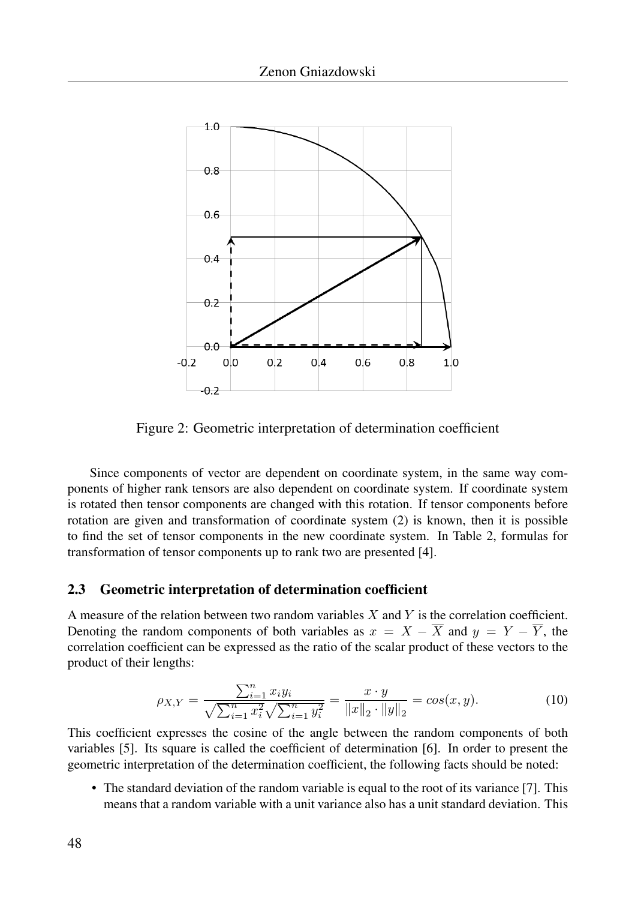

Figure 2: Geometric interpretation of determination coefficient

Since components of vector are dependent on coordinate system, in the same way components of higher rank tensors are also dependent on coordinate system. If coordinate system is rotated then tensor components are changed with this rotation. If tensor components before rotation are given and transformation of coordinate system (2) is known, then it is possible to find the set of tensor components in the new coordinate system. In Table 2, formulas for transformation of tensor components up to rank two are presented [4].

### 2.3 Geometric interpretation of determination coefficient

A measure of the relation between two random variables  $X$  and  $Y$  is the correlation coefficient. Denoting the random components of both variables as  $x = X - \overline{X}$  and  $y = Y - \overline{Y}$ , the correlation coefficient can be expressed as the ratio of the scalar product of these vectors to the product of their lengths:

$$
\rho_{X,Y} = \frac{\sum_{i=1}^{n} x_i y_i}{\sqrt{\sum_{i=1}^{n} x_i^2} \sqrt{\sum_{i=1}^{n} y_i^2}} = \frac{x \cdot y}{\|x\|_2 \cdot \|y\|_2} = \cos(x, y). \tag{10}
$$

This coefficient expresses the cosine of the angle between the random components of both variables [5]. Its square is called the coefficient of determination [6]. In order to present the geometric interpretation of the determination coefficient, the following facts should be noted:

• The standard deviation of the random variable is equal to the root of its variance [7]. This means that a random variable with a unit variance also has a unit standard deviation. This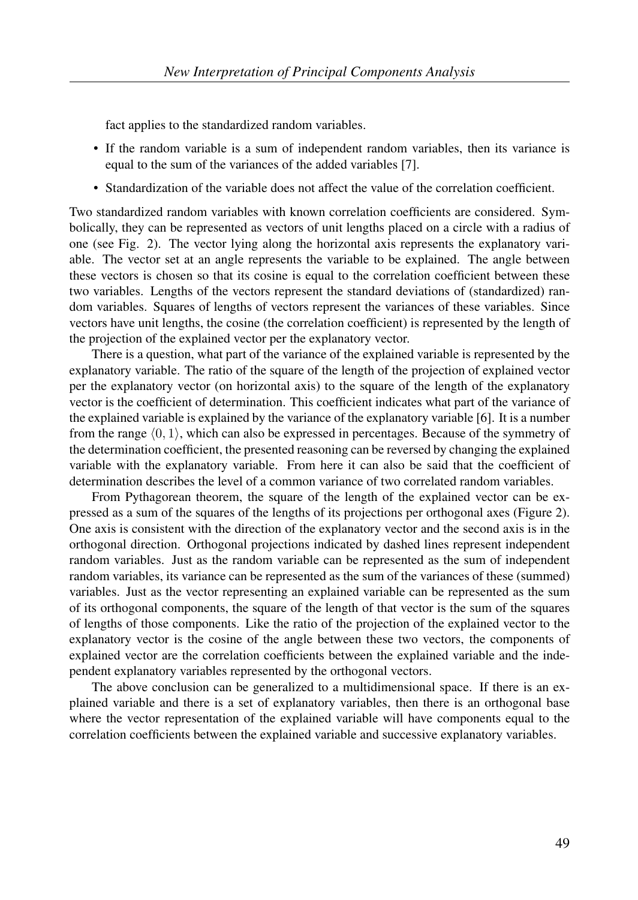fact applies to the standardized random variables.

- If the random variable is a sum of independent random variables, then its variance is equal to the sum of the variances of the added variables [7].
- Standardization of the variable does not affect the value of the correlation coefficient.

Two standardized random variables with known correlation coefficients are considered. Symbolically, they can be represented as vectors of unit lengths placed on a circle with a radius of one (see Fig. 2). The vector lying along the horizontal axis represents the explanatory variable. The vector set at an angle represents the variable to be explained. The angle between these vectors is chosen so that its cosine is equal to the correlation coefficient between these two variables. Lengths of the vectors represent the standard deviations of (standardized) random variables. Squares of lengths of vectors represent the variances of these variables. Since vectors have unit lengths, the cosine (the correlation coefficient) is represented by the length of the projection of the explained vector per the explanatory vector.

There is a question, what part of the variance of the explained variable is represented by the explanatory variable. The ratio of the square of the length of the projection of explained vector per the explanatory vector (on horizontal axis) to the square of the length of the explanatory vector is the coefficient of determination. This coefficient indicates what part of the variance of the explained variable is explained by the variance of the explanatory variable [6]. It is a number from the range  $(0, 1)$ , which can also be expressed in percentages. Because of the symmetry of the determination coefficient, the presented reasoning can be reversed by changing the explained variable with the explanatory variable. From here it can also be said that the coefficient of determination describes the level of a common variance of two correlated random variables.

From Pythagorean theorem, the square of the length of the explained vector can be expressed as a sum of the squares of the lengths of its projections per orthogonal axes (Figure 2). One axis is consistent with the direction of the explanatory vector and the second axis is in the orthogonal direction. Orthogonal projections indicated by dashed lines represent independent random variables. Just as the random variable can be represented as the sum of independent random variables, its variance can be represented as the sum of the variances of these (summed) variables. Just as the vector representing an explained variable can be represented as the sum of its orthogonal components, the square of the length of that vector is the sum of the squares of lengths of those components. Like the ratio of the projection of the explained vector to the explanatory vector is the cosine of the angle between these two vectors, the components of explained vector are the correlation coefficients between the explained variable and the independent explanatory variables represented by the orthogonal vectors.

The above conclusion can be generalized to a multidimensional space. If there is an explained variable and there is a set of explanatory variables, then there is an orthogonal base where the vector representation of the explained variable will have components equal to the correlation coefficients between the explained variable and successive explanatory variables.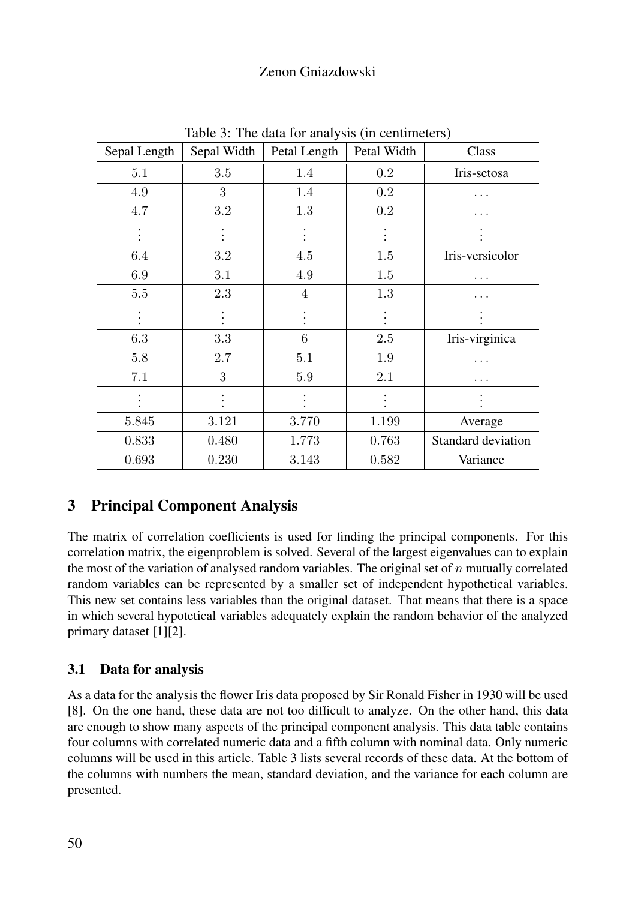| Sepal Length | Sepal Width | Petal Length | Petal Width | Class              |
|--------------|-------------|--------------|-------------|--------------------|
| 5.1          | 3.5         | 1.4          | 0.2         | Iris-setosa        |
| 4.9          | 3           | 1.4          | $0.2\,$     | .                  |
| 4.7          | 3.2         | 1.3          | $0.2\,$     |                    |
|              |             |              |             |                    |
| 6.4          | 3.2         | 4.5          | $1.5\,$     | Iris-versicolor    |
| 6.9          | 3.1         | 4.9          | 1.5         | .                  |
| 5.5          | 2.3         | 4            | 1.3         | .                  |
|              |             |              |             |                    |
| 6.3          | 3.3         | 6            | 2.5         | Iris-virginica     |
| 5.8          | 2.7         | 5.1          | $1.9\,$     | .                  |
| 7.1          | 3           | $5.9\,$      | 2.1         | .                  |
|              |             |              |             |                    |
| 5.845        | 3.121       | 3.770        | 1.199       | Average            |
| 0.833        | 0.480       | 1.773        | 0.763       | Standard deviation |
| 0.693        | 0.230       | 3.143        | 0.582       | Variance           |

Table 3: The data for analysis (in centimeters)

# 3 Principal Component Analysis

The matrix of correlation coefficients is used for finding the principal components. For this correlation matrix, the eigenproblem is solved. Several of the largest eigenvalues can to explain the most of the variation of analysed random variables. The original set of  $n$  mutually correlated random variables can be represented by a smaller set of independent hypothetical variables. This new set contains less variables than the original dataset. That means that there is a space in which several hypotetical variables adequately explain the random behavior of the analyzed primary dataset [1][2].

## 3.1 Data for analysis

As a data for the analysis the flower Iris data proposed by Sir Ronald Fisher in 1930 will be used [8]. On the one hand, these data are not too difficult to analyze. On the other hand, this data are enough to show many aspects of the principal component analysis. This data table contains four columns with correlated numeric data and a fifth column with nominal data. Only numeric columns will be used in this article. Table 3 lists several records of these data. At the bottom of the columns with numbers the mean, standard deviation, and the variance for each column are presented.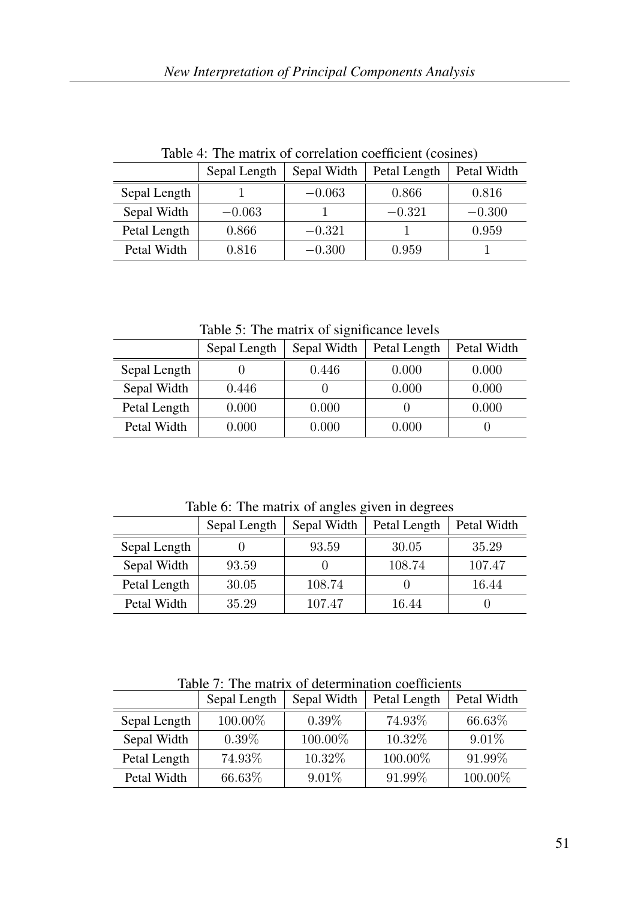|              | radio 1. The matrix of correlation coemercial (coomes) |             |              |             |  |  |  |
|--------------|--------------------------------------------------------|-------------|--------------|-------------|--|--|--|
|              | Sepal Length                                           | Sepal Width | Petal Length | Petal Width |  |  |  |
| Sepal Length |                                                        | $-0.063$    | 0.866        | 0.816       |  |  |  |
| Sepal Width  | $-0.063$                                               |             | $-0.321$     | $-0.300$    |  |  |  |
| Petal Length | 0.866                                                  | $-0.321$    |              | 0.959       |  |  |  |
| Petal Width  | 0.816                                                  | $-0.300$    | 0.959        |             |  |  |  |

Table 4: The matrix of correlation coefficient (cosines)

Table 5: The matrix of significance levels

|              | Sepal Length | Sepal Width | Petal Length | Petal Width |
|--------------|--------------|-------------|--------------|-------------|
| Sepal Length |              | 0.446       | 0.000        | 0.000       |
| Sepal Width  | 0.446        |             | 0.000        | 0.000       |
| Petal Length | 0.000        | 0.000       |              | 0.000       |
| Petal Width  | 0.000        | 0.000       | 0.000        |             |

Table 6: The matrix of angles given in degrees

|              | Sepal Length | Sepal Width | Petal Length | Petal Width |
|--------------|--------------|-------------|--------------|-------------|
| Sepal Length |              | 93.59       | 30.05        | 35.29       |
| Sepal Width  | 93.59        |             | 108.74       | 107.47      |
| Petal Length | 30.05        | 108.74      |              | 16.44       |
| Petal Width  | 35.29        | 107.47      | 16.44        |             |

Table 7: The matrix of determination coefficients

|              | Sepal Length | Sepal Width | Petal Length | Petal Width |
|--------------|--------------|-------------|--------------|-------------|
| Sepal Length | 100.00%      | $0.39\%$    | 74.93%       | 66.63%      |
| Sepal Width  | $0.39\%$     | 100.00%     | 10.32\%      | $9.01\%$    |
| Petal Length | 74.93%       | 10.32\%     | 100.00%      | 91.99%      |
| Petal Width  | 66.63%       | $9.01\%$    | 91.99%       | 100.00%     |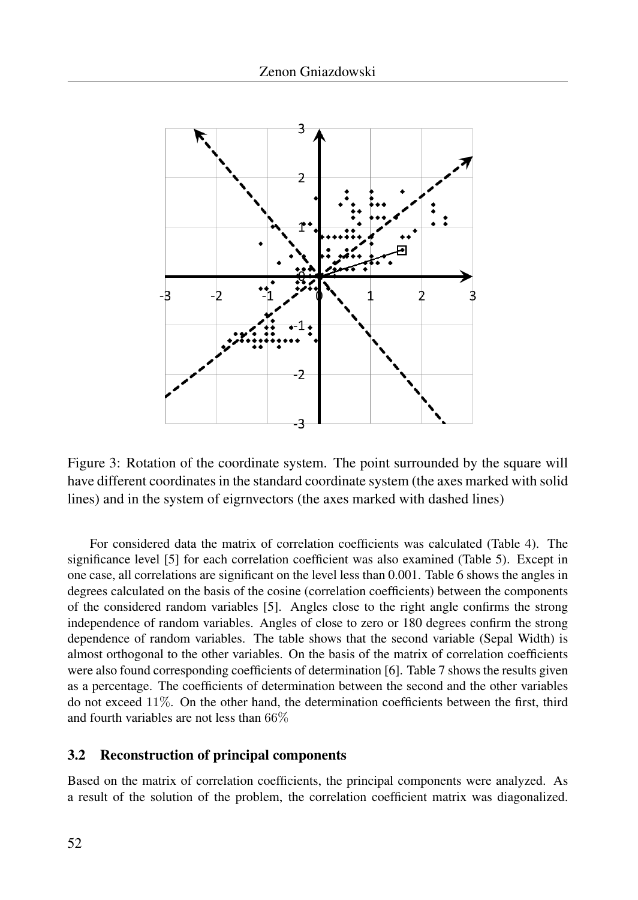

Figure 3: Rotation of the coordinate system. The point surrounded by the square will have different coordinates in the standard coordinate system (the axes marked with solid lines) and in the system of eigrnvectors (the axes marked with dashed lines)

For considered data the matrix of correlation coefficients was calculated (Table 4). The significance level [5] for each correlation coefficient was also examined (Table 5). Except in one case, all correlations are significant on the level less than 0.001. Table 6 shows the angles in degrees calculated on the basis of the cosine (correlation coefficients) between the components of the considered random variables [5]. Angles close to the right angle confirms the strong independence of random variables. Angles of close to zero or 180 degrees confirm the strong dependence of random variables. The table shows that the second variable (Sepal Width) is almost orthogonal to the other variables. On the basis of the matrix of correlation coefficients were also found corresponding coefficients of determination [6]. Table 7 shows the results given as a percentage. The coefficients of determination between the second and the other variables do not exceed 11%. On the other hand, the determination coefficients between the first, third and fourth variables are not less than 66%

### 3.2 Reconstruction of principal components

Based on the matrix of correlation coefficients, the principal components were analyzed. As a result of the solution of the problem, the correlation coefficient matrix was diagonalized.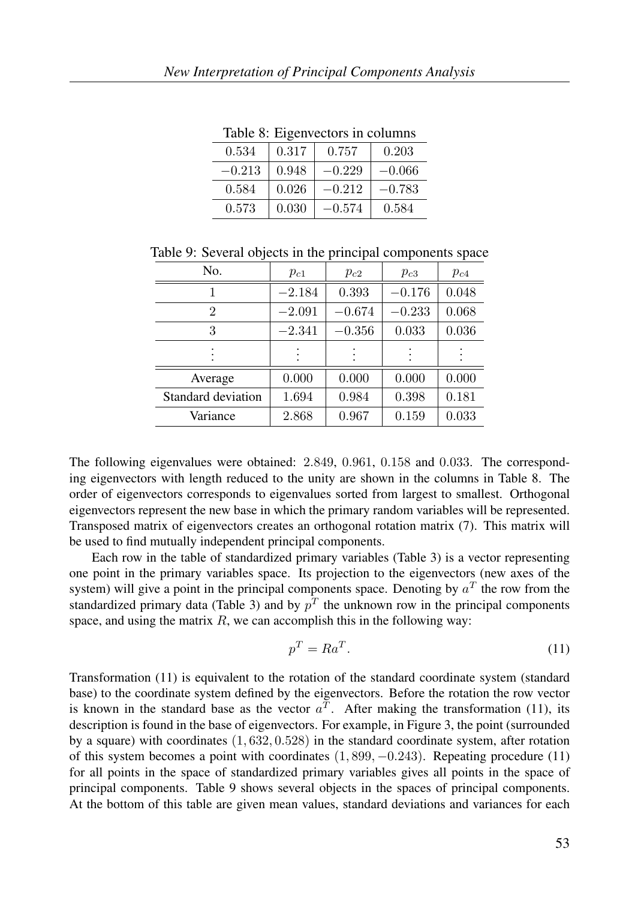| raone of Elgenvectors in condition |       |          |          |  |  |  |  |
|------------------------------------|-------|----------|----------|--|--|--|--|
| 0.534                              | 0.317 | 0.757    | 0.203    |  |  |  |  |
| $-0.213$                           | 0.948 | $-0.229$ | $-0.066$ |  |  |  |  |
| 0.584                              | 0.026 | $-0.212$ | $-0.783$ |  |  |  |  |
| 0.573                              | 0.030 | $-0.574$ | 0.584    |  |  |  |  |

Table 8: Eigenvectors in columns

| No.                | $p_{c1}$ | $p_{c2}$ | $p_{c3}$ | $p_{c4}$ |
|--------------------|----------|----------|----------|----------|
|                    | $-2.184$ | 0.393    | $-0.176$ | 0.048    |
| 2                  | $-2.091$ | $-0.674$ | $-0.233$ | 0.068    |
| 3                  | $-2.341$ | $-0.356$ | 0.033    | 0.036    |
|                    |          |          |          |          |
| Average            | 0.000    | 0.000    | 0.000    | 0.000    |
| Standard deviation | 1.694    | 0.984    | 0.398    | 0.181    |
| Variance           | 2.868    | 0.967    | 0.159    | 0.033    |

The following eigenvalues were obtained: 2.849, 0.961, 0.158 and 0.033. The corresponding eigenvectors with length reduced to the unity are shown in the columns in Table 8. The order of eigenvectors corresponds to eigenvalues sorted from largest to smallest. Orthogonal eigenvectors represent the new base in which the primary random variables will be represented. Transposed matrix of eigenvectors creates an orthogonal rotation matrix (7). This matrix will be used to find mutually independent principal components.

Each row in the table of standardized primary variables (Table 3) is a vector representing one point in the primary variables space. Its projection to the eigenvectors (new axes of the system) will give a point in the principal components space. Denoting by  $a<sup>T</sup>$  the row from the standardized primary data (Table 3) and by  $p<sup>T</sup>$  the unknown row in the principal components space, and using the matrix  $R$ , we can accomplish this in the following way:

$$
p^T = Ra^T. \tag{11}
$$

Transformation (11) is equivalent to the rotation of the standard coordinate system (standard base) to the coordinate system defined by the eigenvectors. Before the rotation the row vector is known in the standard base as the vector  $a^T$ . After making the transformation (11), its description is found in the base of eigenvectors. For example, in Figure 3, the point (surrounded by a square) with coordinates  $(1, 632, 0.528)$  in the standard coordinate system, after rotation of this system becomes a point with coordinates  $(1, 899, -0.243)$ . Repeating procedure  $(11)$ for all points in the space of standardized primary variables gives all points in the space of principal components. Table 9 shows several objects in the spaces of principal components. At the bottom of this table are given mean values, standard deviations and variances for each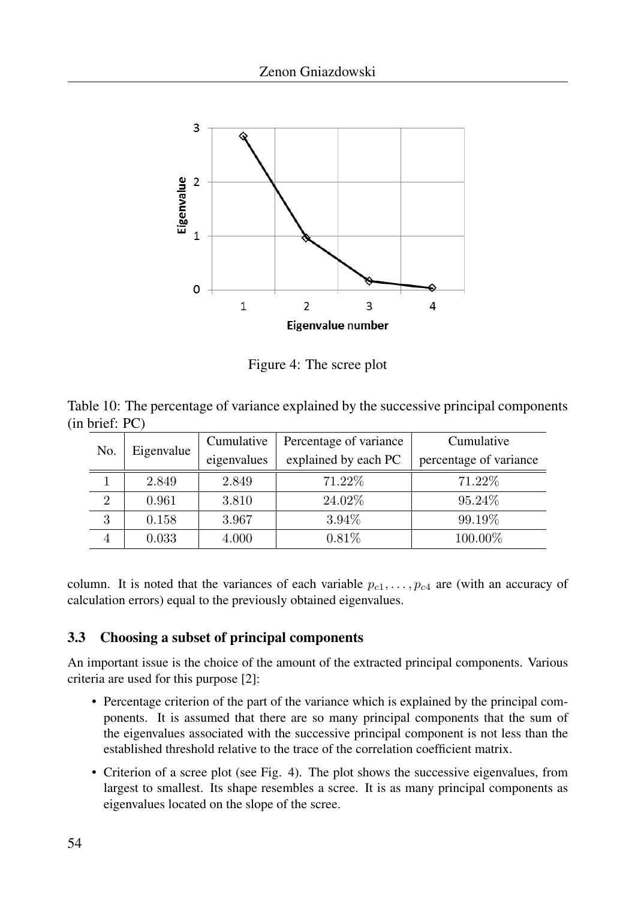

Figure 4: The scree plot

|                |  |  |  | Table 10: The percentage of variance explained by the successive principal components |
|----------------|--|--|--|---------------------------------------------------------------------------------------|
| (in brief: PC) |  |  |  |                                                                                       |

| No.            | Eigenvalue | Cumulative  | Percentage of variance | Cumulative             |  |
|----------------|------------|-------------|------------------------|------------------------|--|
|                |            | eigenvalues | explained by each PC   | percentage of variance |  |
|                | 2.849      | 2.849       | 71.22\%                | 71.22%                 |  |
| $\overline{2}$ | 0.961      | 3.810       | 24.02%                 | 95.24\%                |  |
| 3              | 0.158      | 3.967       | 3.94%                  | 99.19%                 |  |
|                | 0.033      | 4.000       | $0.81\%$               | 100.00%                |  |

column. It is noted that the variances of each variable  $p_{c1}, \ldots, p_{c4}$  are (with an accuracy of calculation errors) equal to the previously obtained eigenvalues.

## 3.3 Choosing a subset of principal components

An important issue is the choice of the amount of the extracted principal components. Various criteria are used for this purpose [2]:

- Percentage criterion of the part of the variance which is explained by the principal components. It is assumed that there are so many principal components that the sum of the eigenvalues associated with the successive principal component is not less than the established threshold relative to the trace of the correlation coefficient matrix.
- Criterion of a scree plot (see Fig. 4). The plot shows the successive eigenvalues, from largest to smallest. Its shape resembles a scree. It is as many principal components as eigenvalues located on the slope of the scree.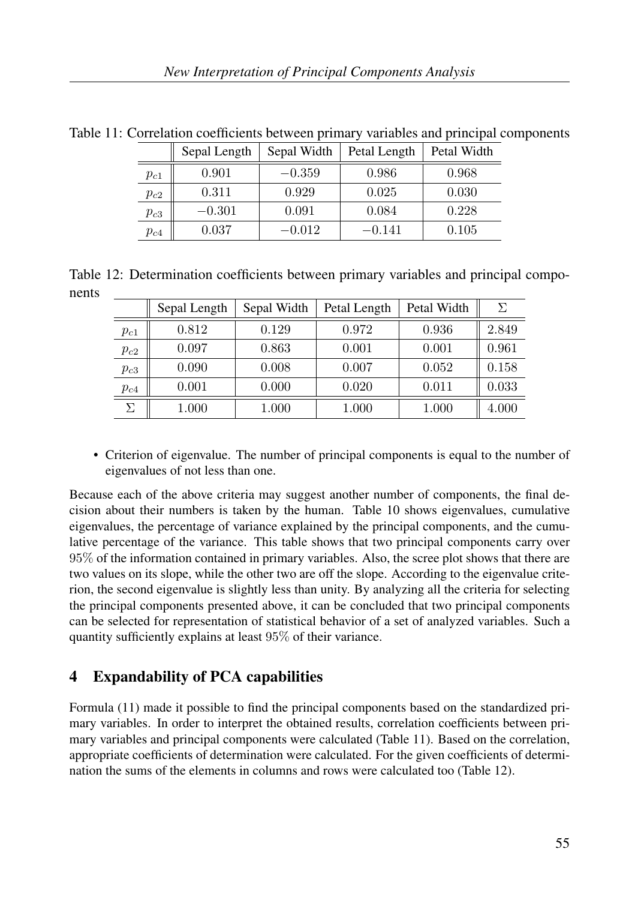|          | Sepal Length | Sepal Width | Petal Length | Petal Width |
|----------|--------------|-------------|--------------|-------------|
| $p_{c1}$ | 0.901        | $-0.359$    | 0.986        | 0.968       |
| $p_{c2}$ | 0.311        | 0.929       | 0.025        | 0.030       |
| $p_{c3}$ | $-0.301$     | 0.091       | 0.084        | 0.228       |
| $p_{c4}$ | 0.037        | $-0.012$    | –0.141       | 0.105       |

Table 11: Correlation coefficients between primary variables and principal components

Table 12: Determination coefficients between primary variables and principal components

|          | Sepal Length | Sepal Width | Petal Length | Petal Width | Σ     |
|----------|--------------|-------------|--------------|-------------|-------|
| $p_{c1}$ | 0.812        | 0.129       | 0.972        | 0.936       | 2.849 |
| $p_{c2}$ | 0.097        | 0.863       | 0.001        | 0.001       | 0.961 |
| $p_{c3}$ | 0.090        | 0.008       | 0.007        | 0.052       | 0.158 |
| $p_{c4}$ | 0.001        | 0.000       | 0.020        | 0.011       | 0.033 |
| $\Sigma$ | 1.000        | 1.000       | 1.000        | 1.000       | 4.000 |

• Criterion of eigenvalue. The number of principal components is equal to the number of eigenvalues of not less than one.

Because each of the above criteria may suggest another number of components, the final decision about their numbers is taken by the human. Table 10 shows eigenvalues, cumulative eigenvalues, the percentage of variance explained by the principal components, and the cumulative percentage of the variance. This table shows that two principal components carry over 95% of the information contained in primary variables. Also, the scree plot shows that there are two values on its slope, while the other two are off the slope. According to the eigenvalue criterion, the second eigenvalue is slightly less than unity. By analyzing all the criteria for selecting the principal components presented above, it can be concluded that two principal components can be selected for representation of statistical behavior of a set of analyzed variables. Such a quantity sufficiently explains at least 95% of their variance.

# 4 Expandability of PCA capabilities

Formula (11) made it possible to find the principal components based on the standardized primary variables. In order to interpret the obtained results, correlation coefficients between primary variables and principal components were calculated (Table 11). Based on the correlation, appropriate coefficients of determination were calculated. For the given coefficients of determination the sums of the elements in columns and rows were calculated too (Table 12).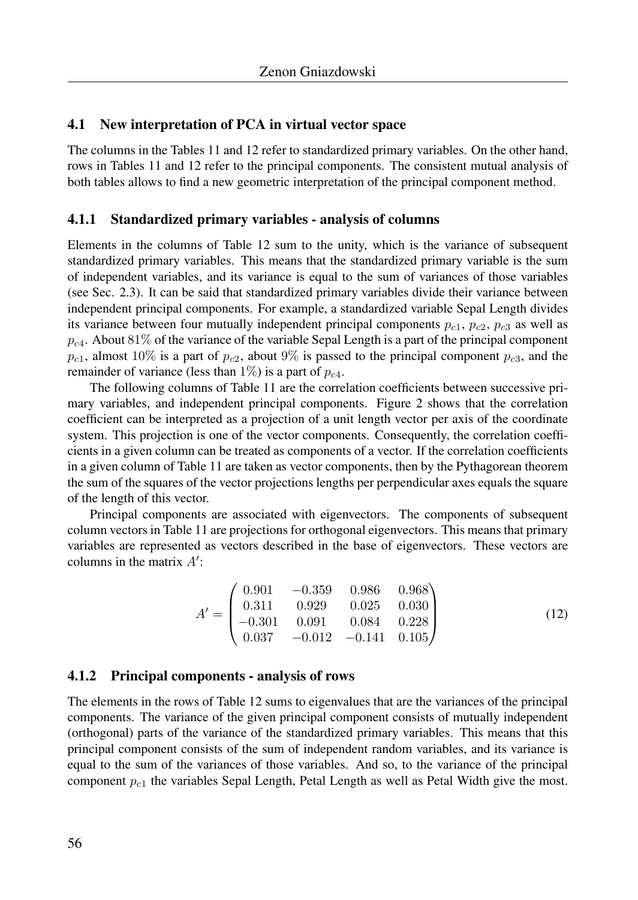### 4.1 New interpretation of PCA in virtual vector space

The columns in the Tables 11 and 12 refer to standardized primary variables. On the other hand, rows in Tables 11 and 12 refer to the principal components. The consistent mutual analysis of both tables allows to find a new geometric interpretation of the principal component method.

#### 4.1.1 Standardized primary variables - analysis of columns

Elements in the columns of Table 12 sum to the unity, which is the variance of subsequent standardized primary variables. This means that the standardized primary variable is the sum of independent variables, and its variance is equal to the sum of variances of those variables (see Sec. 2.3). It can be said that standardized primary variables divide their variance between independent principal components. For example, a standardized variable Sepal Length divides its variance between four mutually independent principal components  $p_{c1}$ ,  $p_{c2}$ ,  $p_{c3}$  as well as  $p_{c4}$ . About 81% of the variance of the variable Sepal Length is a part of the principal component  $p_{c1}$ , almost 10% is a part of  $p_{c2}$ , about 9% is passed to the principal component  $p_{c3}$ , and the remainder of variance (less than 1%) is a part of  $p_{c4}$ .

The following columns of Table 11 are the correlation coefficients between successive primary variables, and independent principal components. Figure 2 shows that the correlation coefficient can be interpreted as a projection of a unit length vector per axis of the coordinate system. This projection is one of the vector components. Consequently, the correlation coefficients in a given column can be treated as components of a vector. If the correlation coefficients in a given column of Table 11 are taken as vector components, then by the Pythagorean theorem the sum of the squares of the vector projections lengths per perpendicular axes equals the square of the length of this vector.

Principal components are associated with eigenvectors. The components of subsequent column vectors in Table 11 are projections for orthogonal eigenvectors. This means that primary variables are represented as vectors described in the base of eigenvectors. These vectors are columns in the matrix  $A'$ :

$$
A' = \begin{pmatrix} 0.901 & -0.359 & 0.986 & 0.968 \\ 0.311 & 0.929 & 0.025 & 0.030 \\ -0.301 & 0.091 & 0.084 & 0.228 \\ 0.037 & -0.012 & -0.141 & 0.105 \end{pmatrix}
$$
(12)

#### 4.1.2 Principal components - analysis of rows

The elements in the rows of Table 12 sums to eigenvalues that are the variances of the principal components. The variance of the given principal component consists of mutually independent (orthogonal) parts of the variance of the standardized primary variables. This means that this principal component consists of the sum of independent random variables, and its variance is equal to the sum of the variances of those variables. And so, to the variance of the principal component  $p_{c1}$  the variables Sepal Length, Petal Length as well as Petal Width give the most.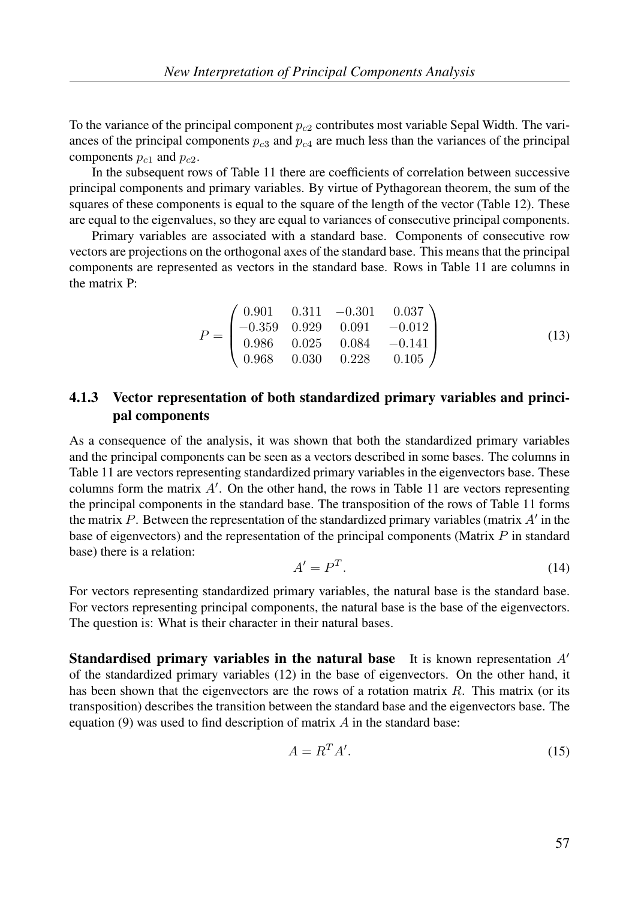To the variance of the principal component  $p_{c2}$  contributes most variable Sepal Width. The variances of the principal components  $p_{c3}$  and  $p_{c4}$  are much less than the variances of the principal components  $p_{c1}$  and  $p_{c2}$ .

In the subsequent rows of Table 11 there are coefficients of correlation between successive principal components and primary variables. By virtue of Pythagorean theorem, the sum of the squares of these components is equal to the square of the length of the vector (Table 12). These are equal to the eigenvalues, so they are equal to variances of consecutive principal components.

Primary variables are associated with a standard base. Components of consecutive row vectors are projections on the orthogonal axes of the standard base. This means that the principal components are represented as vectors in the standard base. Rows in Table 11 are columns in the matrix P:

$$
P = \begin{pmatrix} 0.901 & 0.311 & -0.301 & 0.037 \\ -0.359 & 0.929 & 0.091 & -0.012 \\ 0.986 & 0.025 & 0.084 & -0.141 \\ 0.968 & 0.030 & 0.228 & 0.105 \end{pmatrix}
$$
(13)

## 4.1.3 Vector representation of both standardized primary variables and principal components

As a consequence of the analysis, it was shown that both the standardized primary variables and the principal components can be seen as a vectors described in some bases. The columns in Table 11 are vectors representing standardized primary variables in the eigenvectors base. These columns form the matrix  $A'$ . On the other hand, the rows in Table 11 are vectors representing the principal components in the standard base. The transposition of the rows of Table 11 forms the matrix  $P$ . Between the representation of the standardized primary variables (matrix  $A'$  in the base of eigenvectors) and the representation of the principal components (Matrix  $P$  in standard base) there is a relation:

$$
A' = P^T. \tag{14}
$$

For vectors representing standardized primary variables, the natural base is the standard base. For vectors representing principal components, the natural base is the base of the eigenvectors. The question is: What is their character in their natural bases.

**Standardised primary variables in the natural base** It is known representation  $A'$ of the standardized primary variables (12) in the base of eigenvectors. On the other hand, it has been shown that the eigenvectors are the rows of a rotation matrix  $R$ . This matrix (or its transposition) describes the transition between the standard base and the eigenvectors base. The equation (9) was used to find description of matrix  $A$  in the standard base:

$$
A = R^T A'.\tag{15}
$$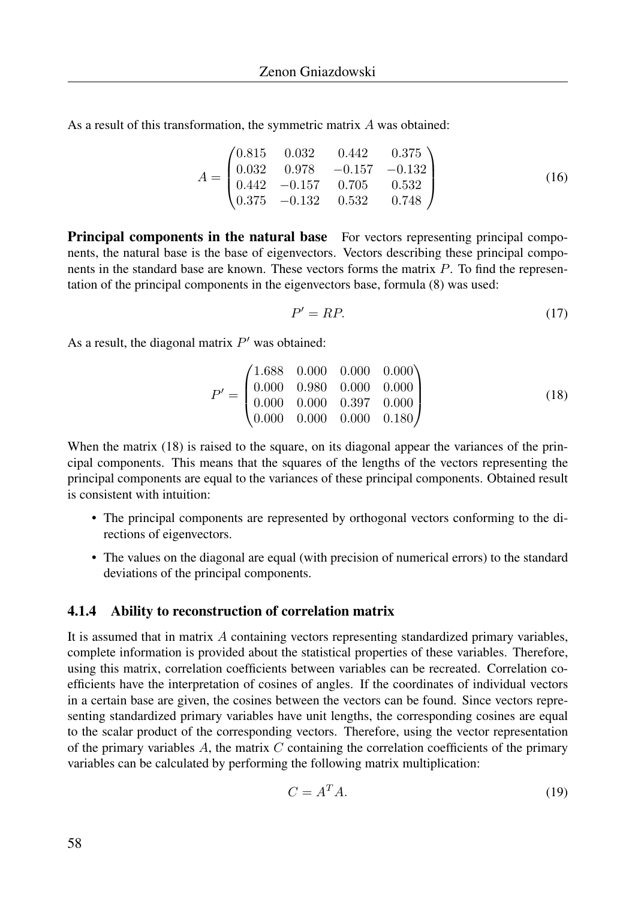As a result of this transformation, the symmetric matrix A was obtained:

$$
A = \begin{pmatrix} 0.815 & 0.032 & 0.442 & 0.375 \\ 0.032 & 0.978 & -0.157 & -0.132 \\ 0.442 & -0.157 & 0.705 & 0.532 \\ 0.375 & -0.132 & 0.532 & 0.748 \end{pmatrix}
$$
 (16)

**Principal components in the natural base** For vectors representing principal components, the natural base is the base of eigenvectors. Vectors describing these principal components in the standard base are known. These vectors forms the matrix  $P$ . To find the representation of the principal components in the eigenvectors base, formula (8) was used:

$$
P' = RP.\tag{17}
$$

As a result, the diagonal matrix  $P'$  was obtained:

$$
P' = \begin{pmatrix} 1.688 & 0.000 & 0.000 & 0.000 \\ 0.000 & 0.980 & 0.000 & 0.000 \\ 0.000 & 0.000 & 0.397 & 0.000 \\ 0.000 & 0.000 & 0.000 & 0.180 \end{pmatrix}
$$
(18)

When the matrix (18) is raised to the square, on its diagonal appear the variances of the principal components. This means that the squares of the lengths of the vectors representing the principal components are equal to the variances of these principal components. Obtained result is consistent with intuition:

- The principal components are represented by orthogonal vectors conforming to the directions of eigenvectors.
- The values on the diagonal are equal (with precision of numerical errors) to the standard deviations of the principal components.

#### 4.1.4 Ability to reconstruction of correlation matrix

It is assumed that in matrix A containing vectors representing standardized primary variables, complete information is provided about the statistical properties of these variables. Therefore, using this matrix, correlation coefficients between variables can be recreated. Correlation coefficients have the interpretation of cosines of angles. If the coordinates of individual vectors in a certain base are given, the cosines between the vectors can be found. Since vectors representing standardized primary variables have unit lengths, the corresponding cosines are equal to the scalar product of the corresponding vectors. Therefore, using the vector representation of the primary variables  $A$ , the matrix  $C$  containing the correlation coefficients of the primary variables can be calculated by performing the following matrix multiplication:

$$
C = A^T A. \tag{19}
$$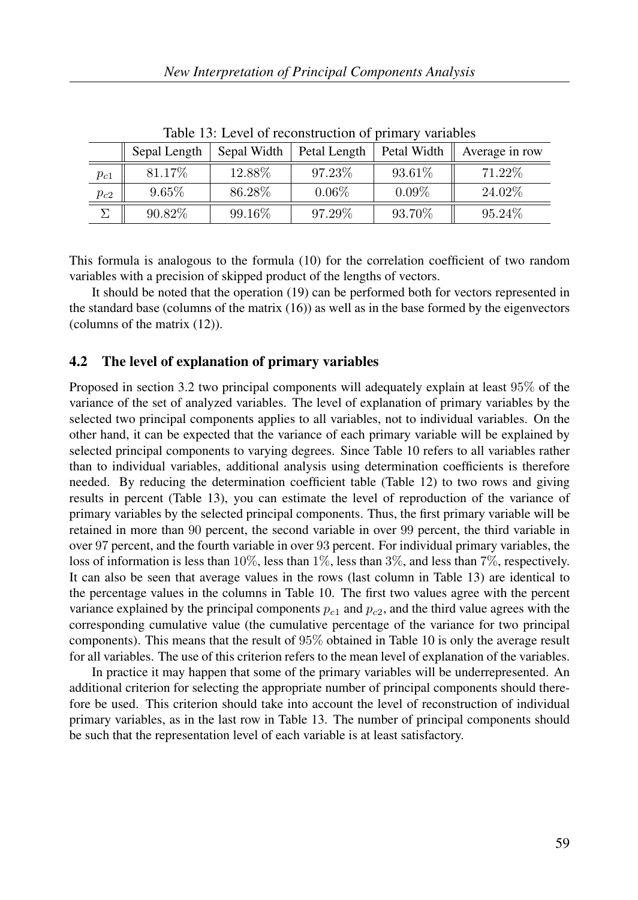| raoic 15. Level of reconstruction of primary variables |              |             |              |             |                |  |  |
|--------------------------------------------------------|--------------|-------------|--------------|-------------|----------------|--|--|
|                                                        | Sepal Length | Sepal Width | Petal Length | Petal Width | Average in row |  |  |
| $p_{c1}$                                               | 81.17%       | 12.88%      | 97.23\%      | 93.61\%     | 71.22\%        |  |  |
| $p_{c2}$                                               | $9.65\%$     | 86.28%      | $0.06\%$     | $0.09\%$    | 24.02\%        |  |  |
|                                                        | 90.82%       | 99.16%      | 97.29%       | 93.70%      | 95.24\%        |  |  |

Table 13: Level of reconstruction of primary variables

This formula is analogous to the formula (10) for the correlation coefficient of two random variables with a precision of skipped product of the lengths of vectors.

It should be noted that the operation (19) can be performed both for vectors represented in the standard base (columns of the matrix  $(16)$ ) as well as in the base formed by the eigenvectors (columns of the matrix (12)).

### 4.2 The level of explanation of primary variables

Proposed in section 3.2 two principal components will adequately explain at least 95% of the variance of the set of analyzed variables. The level of explanation of primary variables by the selected two principal components applies to all variables, not to individual variables. On the other hand, it can be expected that the variance of each primary variable will be explained by selected principal components to varying degrees. Since Table 10 refers to all variables rather than to individual variables, additional analysis using determination coefficients is therefore needed. By reducing the determination coefficient table (Table 12) to two rows and giving results in percent (Table 13), you can estimate the level of reproduction of the variance of primary variables by the selected principal components. Thus, the first primary variable will be retained in more than 90 percent, the second variable in over 99 percent, the third variable in over 97 percent, and the fourth variable in over 93 percent. For individual primary variables, the loss of information is less than 10%, less than 1%, less than 3%, and less than 7%, respectively. It can also be seen that average values in the rows (last column in Table 13) are identical to the percentage values in the columns in Table 10. The first two values agree with the percent variance explained by the principal components  $p_{c1}$  and  $p_{c2}$ , and the third value agrees with the corresponding cumulative value (the cumulative percentage of the variance for two principal components). This means that the result of 95% obtained in Table 10 is only the average result for all variables. The use of this criterion refers to the mean level of explanation of the variables.

In practice it may happen that some of the primary variables will be underrepresented. An additional criterion for selecting the appropriate number of principal components should therefore be used. This criterion should take into account the level of reconstruction of individual primary variables, as in the last row in Table 13. The number of principal components should be such that the representation level of each variable is at least satisfactory.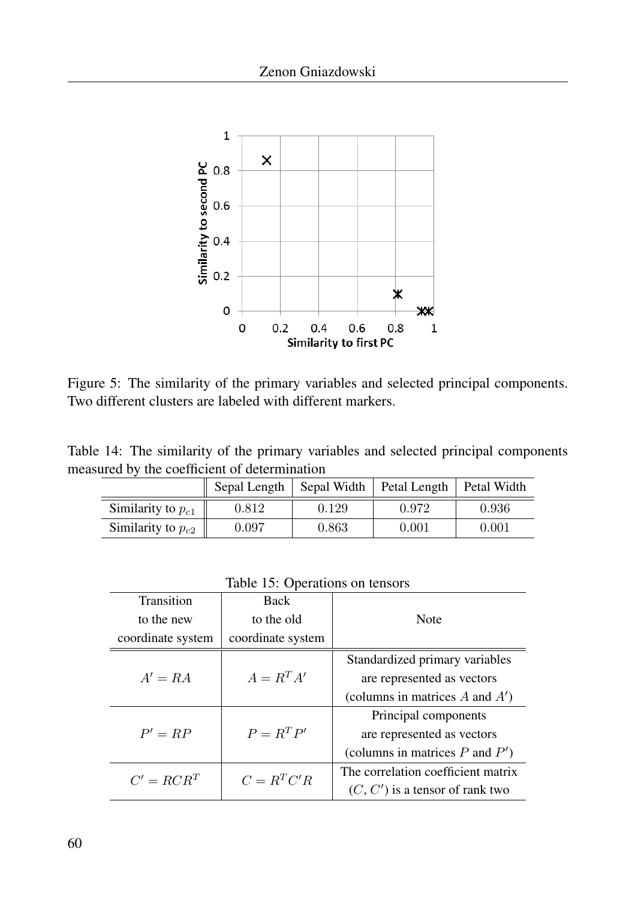

Figure 5: The similarity of the primary variables and selected principal components. Two different clusters are labeled with different markers.

Table 14: The similarity of the primary variables and selected principal components measured by the coefficient of determination

|                        | Sepal Length | Sepal Width | Petal Length   Petal Width |       |
|------------------------|--------------|-------------|----------------------------|-------|
| Similarity to $p_{c1}$ | 0.812        | 0.129       | 0.972                      | 0.936 |
| Similarity to $p_{c2}$ | 0.097        | 0.863       | 0.001                      | 0.001 |

Table 15: Operations on tensors

| Transition        | <b>Back</b>       |                                     |  |
|-------------------|-------------------|-------------------------------------|--|
| to the new        | to the old        | Note                                |  |
| coordinate system | coordinate system |                                     |  |
|                   |                   | Standardized primary variables      |  |
| $A' = RA$         | $A = R^T A'$      | are represented as vectors          |  |
|                   |                   | (columns in matrices $A$ and $A'$ ) |  |
|                   |                   | Principal components                |  |
| $P' = RP$         | $P = R^T P'$      | are represented as vectors          |  |
|                   |                   | (columns in matrices $P$ and $P'$ ) |  |
| $C' = RCR^T$      | $C = R^T C'R$     | The correlation coefficient matrix  |  |
|                   |                   | $(C, C')$ is a tensor of rank two   |  |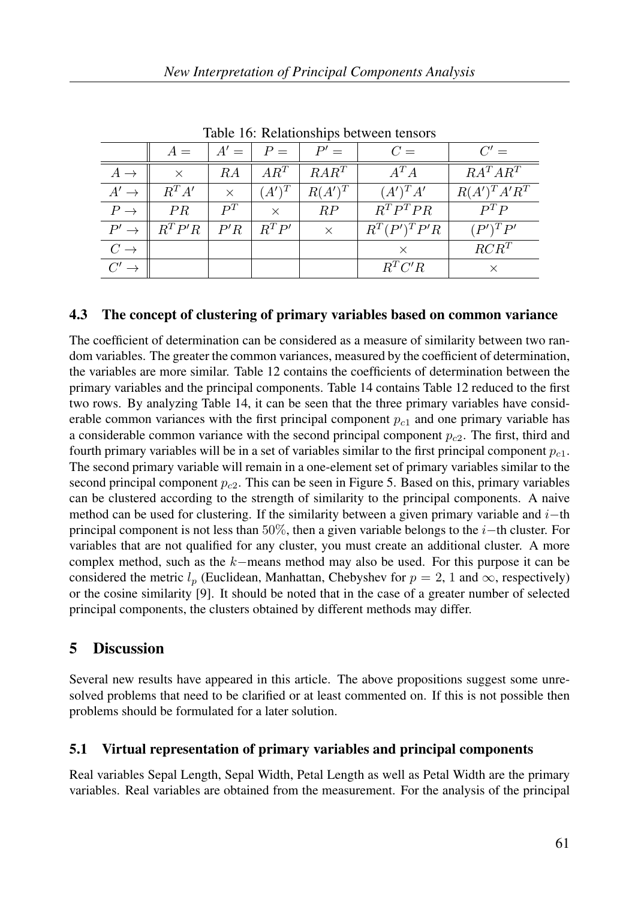| racio To: reciamento componente reflection |           |                |          |           |                 |                  |  |
|--------------------------------------------|-----------|----------------|----------|-----------|-----------------|------------------|--|
|                                            | $A =$     | $A' =$         | $P =$    | $P' =$    | $C =$           | $C' =$           |  |
| $A \rightarrow$                            | $\times$  | RΑ             | $AR^T$   | $RAR^T$   | $A^T A$         | $RA^TAR^T$       |  |
| $A' \rightarrow$                           | $R^T A'$  | $\times$       | $(A')^T$ | $R(A')^T$ | $(A')^T A'$     | $R(A')^T A' R^T$ |  |
| $P \rightarrow$                            | PR        | $\mathbf{p}^T$ | $\times$ | RP        | $R^T P^T P R$   | $P^T P$          |  |
| $P' \rightarrow$                           | $R^T P'R$ | P'R            | $R^T P'$ | $\times$  | $R^T(P')^T P'R$ | $(P')^T P'$      |  |
| $C \rightarrow$                            |           |                |          |           |                 | $RCR^T$          |  |
| $C' \rightharpoonup$                       |           |                |          |           | $R^TC'R$        |                  |  |

Table 16: Relationships between tensors

### 4.3 The concept of clustering of primary variables based on common variance

The coefficient of determination can be considered as a measure of similarity between two random variables. The greater the common variances, measured by the coefficient of determination, the variables are more similar. Table 12 contains the coefficients of determination between the primary variables and the principal components. Table 14 contains Table 12 reduced to the first two rows. By analyzing Table 14, it can be seen that the three primary variables have considerable common variances with the first principal component  $p_{c1}$  and one primary variable has a considerable common variance with the second principal component  $p_{c2}$ . The first, third and fourth primary variables will be in a set of variables similar to the first principal component  $p_{c1}$ . The second primary variable will remain in a one-element set of primary variables similar to the second principal component  $p_{c2}$ . This can be seen in Figure 5. Based on this, primary variables can be clustered according to the strength of similarity to the principal components. A naive method can be used for clustering. If the similarity between a given primary variable and  $i$ –th principal component is not less than 50%, then a given variable belongs to the  $i$ −th cluster. For variables that are not qualified for any cluster, you must create an additional cluster. A more complex method, such as the  $k$ −means method may also be used. For this purpose it can be considered the metric  $l_p$  (Euclidean, Manhattan, Chebyshev for  $p = 2, 1$  and  $\infty$ , respectively) or the cosine similarity [9]. It should be noted that in the case of a greater number of selected principal components, the clusters obtained by different methods may differ.

## 5 Discussion

Several new results have appeared in this article. The above propositions suggest some unresolved problems that need to be clarified or at least commented on. If this is not possible then problems should be formulated for a later solution.

### 5.1 Virtual representation of primary variables and principal components

Real variables Sepal Length, Sepal Width, Petal Length as well as Petal Width are the primary variables. Real variables are obtained from the measurement. For the analysis of the principal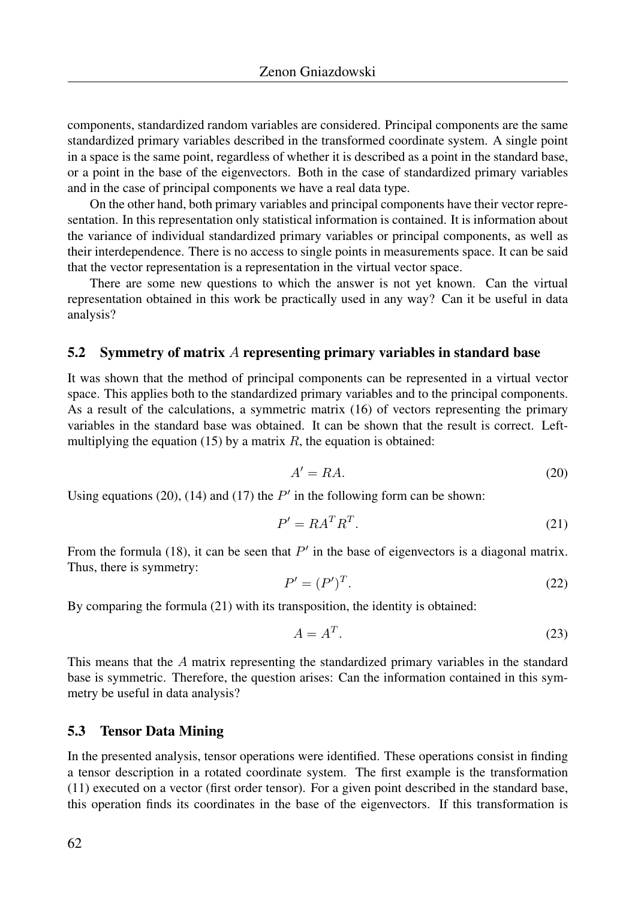components, standardized random variables are considered. Principal components are the same standardized primary variables described in the transformed coordinate system. A single point in a space is the same point, regardless of whether it is described as a point in the standard base, or a point in the base of the eigenvectors. Both in the case of standardized primary variables and in the case of principal components we have a real data type.

On the other hand, both primary variables and principal components have their vector representation. In this representation only statistical information is contained. It is information about the variance of individual standardized primary variables or principal components, as well as their interdependence. There is no access to single points in measurements space. It can be said that the vector representation is a representation in the virtual vector space.

There are some new questions to which the answer is not yet known. Can the virtual representation obtained in this work be practically used in any way? Can it be useful in data analysis?

#### 5.2 Symmetry of matrix A representing primary variables in standard base

It was shown that the method of principal components can be represented in a virtual vector space. This applies both to the standardized primary variables and to the principal components. As a result of the calculations, a symmetric matrix (16) of vectors representing the primary variables in the standard base was obtained. It can be shown that the result is correct. Leftmultiplying the equation (15) by a matrix  $R$ , the equation is obtained:

$$
A' = RA.
$$
\n<sup>(20)</sup>

Using equations (20), (14) and (17) the  $P'$  in the following form can be shown:

$$
P' = R A^T R^T. \tag{21}
$$

From the formula (18), it can be seen that  $P'$  in the base of eigenvectors is a diagonal matrix. Thus, there is symmetry:

$$
P' = (P')^T. \tag{22}
$$

By comparing the formula (21) with its transposition, the identity is obtained:

$$
A = A^T. \tag{23}
$$

This means that the A matrix representing the standardized primary variables in the standard base is symmetric. Therefore, the question arises: Can the information contained in this symmetry be useful in data analysis?

#### 5.3 Tensor Data Mining

In the presented analysis, tensor operations were identified. These operations consist in finding a tensor description in a rotated coordinate system. The first example is the transformation (11) executed on a vector (first order tensor). For a given point described in the standard base, this operation finds its coordinates in the base of the eigenvectors. If this transformation is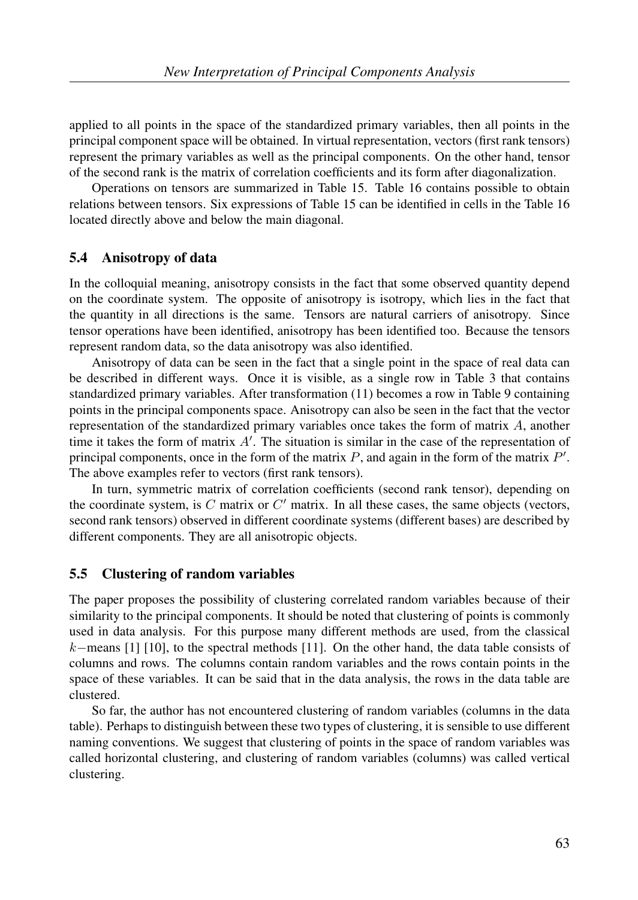applied to all points in the space of the standardized primary variables, then all points in the principal component space will be obtained. In virtual representation, vectors (first rank tensors) represent the primary variables as well as the principal components. On the other hand, tensor of the second rank is the matrix of correlation coefficients and its form after diagonalization.

Operations on tensors are summarized in Table 15. Table 16 contains possible to obtain relations between tensors. Six expressions of Table 15 can be identified in cells in the Table 16 located directly above and below the main diagonal.

### 5.4 Anisotropy of data

In the colloquial meaning, anisotropy consists in the fact that some observed quantity depend on the coordinate system. The opposite of anisotropy is isotropy, which lies in the fact that the quantity in all directions is the same. Tensors are natural carriers of anisotropy. Since tensor operations have been identified, anisotropy has been identified too. Because the tensors represent random data, so the data anisotropy was also identified.

Anisotropy of data can be seen in the fact that a single point in the space of real data can be described in different ways. Once it is visible, as a single row in Table 3 that contains standardized primary variables. After transformation (11) becomes a row in Table 9 containing points in the principal components space. Anisotropy can also be seen in the fact that the vector representation of the standardized primary variables once takes the form of matrix  $A$ , another time it takes the form of matrix  $A'$ . The situation is similar in the case of the representation of principal components, once in the form of the matrix  $P$ , and again in the form of the matrix  $P'$ . The above examples refer to vectors (first rank tensors).

In turn, symmetric matrix of correlation coefficients (second rank tensor), depending on the coordinate system, is  $C$  matrix or  $C'$  matrix. In all these cases, the same objects (vectors, second rank tensors) observed in different coordinate systems (different bases) are described by different components. They are all anisotropic objects.

### 5.5 Clustering of random variables

The paper proposes the possibility of clustering correlated random variables because of their similarity to the principal components. It should be noted that clustering of points is commonly used in data analysis. For this purpose many different methods are used, from the classical k−means [1] [10], to the spectral methods [11]. On the other hand, the data table consists of columns and rows. The columns contain random variables and the rows contain points in the space of these variables. It can be said that in the data analysis, the rows in the data table are clustered.

So far, the author has not encountered clustering of random variables (columns in the data table). Perhaps to distinguish between these two types of clustering, it is sensible to use different naming conventions. We suggest that clustering of points in the space of random variables was called horizontal clustering, and clustering of random variables (columns) was called vertical clustering.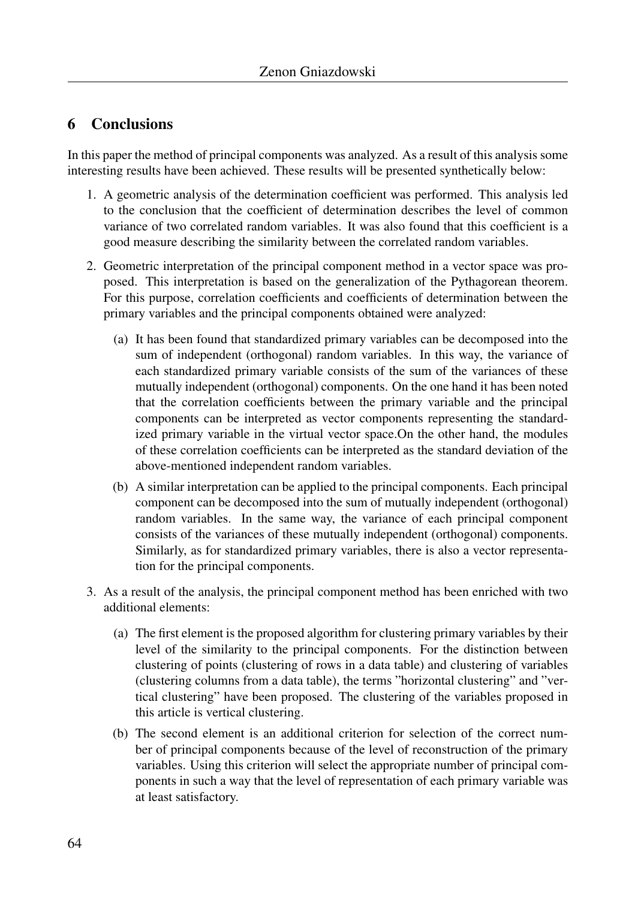## 6 Conclusions

In this paper the method of principal components was analyzed. As a result of this analysis some interesting results have been achieved. These results will be presented synthetically below:

- 1. A geometric analysis of the determination coefficient was performed. This analysis led to the conclusion that the coefficient of determination describes the level of common variance of two correlated random variables. It was also found that this coefficient is a good measure describing the similarity between the correlated random variables.
- 2. Geometric interpretation of the principal component method in a vector space was proposed. This interpretation is based on the generalization of the Pythagorean theorem. For this purpose, correlation coefficients and coefficients of determination between the primary variables and the principal components obtained were analyzed:
	- (a) It has been found that standardized primary variables can be decomposed into the sum of independent (orthogonal) random variables. In this way, the variance of each standardized primary variable consists of the sum of the variances of these mutually independent (orthogonal) components. On the one hand it has been noted that the correlation coefficients between the primary variable and the principal components can be interpreted as vector components representing the standardized primary variable in the virtual vector space.On the other hand, the modules of these correlation coefficients can be interpreted as the standard deviation of the above-mentioned independent random variables.
	- (b) A similar interpretation can be applied to the principal components. Each principal component can be decomposed into the sum of mutually independent (orthogonal) random variables. In the same way, the variance of each principal component consists of the variances of these mutually independent (orthogonal) components. Similarly, as for standardized primary variables, there is also a vector representation for the principal components.
- 3. As a result of the analysis, the principal component method has been enriched with two additional elements:
	- (a) The first element is the proposed algorithm for clustering primary variables by their level of the similarity to the principal components. For the distinction between clustering of points (clustering of rows in a data table) and clustering of variables (clustering columns from a data table), the terms "horizontal clustering" and "vertical clustering" have been proposed. The clustering of the variables proposed in this article is vertical clustering.
	- (b) The second element is an additional criterion for selection of the correct number of principal components because of the level of reconstruction of the primary variables. Using this criterion will select the appropriate number of principal components in such a way that the level of representation of each primary variable was at least satisfactory.